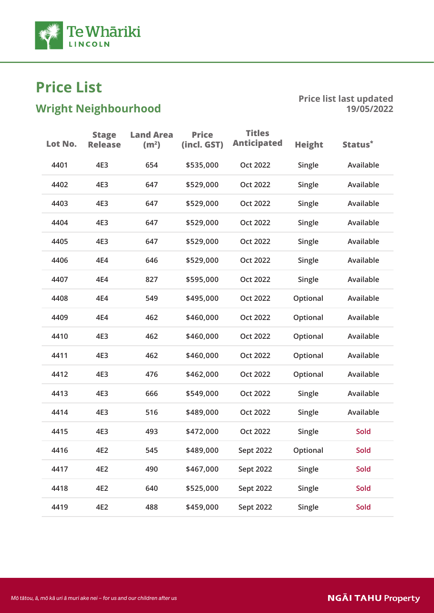

# $\mathbf{S}$ nt Nei $\mathbf{S}$ nt Nei $\mathbf{S}$

| Lot No. | <b>Stage</b><br><b>Release</b> | <b>Land Area</b><br>(m <sup>2</sup> ) | <b>Price</b><br>(incl. GST) | <b>Titles</b><br><b>Anticipated</b> | <b>Height</b> | Status*     |
|---------|--------------------------------|---------------------------------------|-----------------------------|-------------------------------------|---------------|-------------|
| 4401    | 4E3                            | 654                                   | \$535,000                   | <b>Oct 2022</b>                     | Single        | Available   |
| 4402    | 4E3                            | 647                                   | \$529,000                   | Oct 2022                            | Single        | Available   |
| 4403    | 4E3                            | 647                                   | \$529,000                   | <b>Oct 2022</b>                     | Single        | Available   |
| 4404    | 4E3                            | 647                                   | \$529,000                   | Oct 2022                            | Single        | Available   |
| 4405    | 4E3                            | 647                                   | \$529,000                   | Oct 2022                            | Single        | Available   |
| 4406    | 4E4                            | 646                                   | \$529,000                   | <b>Oct 2022</b>                     | Single        | Available   |
| 4407    | 4E4                            | 827                                   | \$595,000                   | Oct 2022                            | Single        | Available   |
| 4408    | 4E4                            | 549                                   | \$495,000                   | Oct 2022                            | Optional      | Available   |
| 4409    | 4E4                            | 462                                   | \$460,000                   | <b>Oct 2022</b>                     | Optional      | Available   |
| 4410    | 4E3                            | 462                                   | \$460,000                   | Oct 2022                            | Optional      | Available   |
| 4411    | 4E3                            | 462                                   | \$460,000                   | <b>Oct 2022</b>                     | Optional      | Available   |
| 4412    | 4E3                            | 476                                   | \$462,000                   | Oct 2022                            | Optional      | Available   |
| 4413    | 4E3                            | 666                                   | \$549,000                   | Oct 2022                            | Single        | Available   |
| 4414    | 4E3                            | 516                                   | \$489,000                   | Oct 2022                            | Single        | Available   |
| 4415    | 4E3                            | 493                                   | \$472,000                   | <b>Oct 2022</b>                     | Single        | Sold        |
| 4416    | 4E2                            | 545                                   | \$489,000                   | Sept 2022                           | Optional      | <b>Sold</b> |
| 4417    | 4E2                            | 490                                   | \$467,000                   | Sept 2022                           | Single        | Sold        |
| 4418    | 4E2                            | 640                                   | \$525,000                   | Sept 2022                           | Single        | Sold        |
| 4419    | 4E2                            | 488                                   | \$459,000                   | Sept 2022                           | Single        | Sold        |
|         |                                |                                       |                             |                                     |               |             |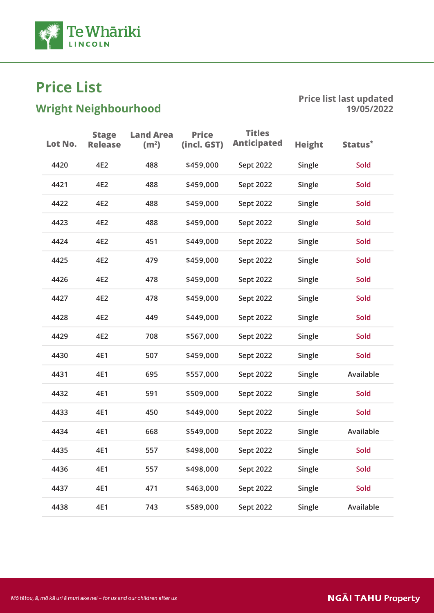

# $\mathbf{S}$ nt Nei $\mathbf{S}$ nt Nei $\mathbf{S}$

| Lot No. | <b>Stage</b><br><b>Release</b> | <b>Land Area</b><br>(m <sup>2</sup> ) | <b>Price</b><br>(incl. GST) | <b>Titles</b><br><b>Anticipated</b> | <b>Height</b> | Status*   |
|---------|--------------------------------|---------------------------------------|-----------------------------|-------------------------------------|---------------|-----------|
| 4420    | 4E2                            | 488                                   | \$459,000                   | Sept 2022                           | Single        | Sold      |
| 4421    | 4E2                            | 488                                   | \$459,000                   | Sept 2022                           | Single        | Sold      |
| 4422    | 4E2                            | 488                                   | \$459,000                   | Sept 2022                           | Single        | Sold      |
| 4423    | 4E2                            | 488                                   | \$459,000                   | Sept 2022                           | Single        | Sold      |
| 4424    | 4E2                            | 451                                   | \$449,000                   | Sept 2022                           | Single        | Sold      |
| 4425    | 4E2                            | 479                                   | \$459,000                   | Sept 2022                           | Single        | Sold      |
| 4426    | 4E2                            | 478                                   | \$459,000                   | Sept 2022                           | Single        | Sold      |
| 4427    | 4E2                            | 478                                   | \$459,000                   | Sept 2022                           | Single        | Sold      |
| 4428    | 4E2                            | 449                                   | \$449,000                   | Sept 2022                           | Single        | Sold      |
| 4429    | 4E2                            | 708                                   | \$567,000                   | Sept 2022                           | Single        | Sold      |
| 4430    | 4E1                            | 507                                   | \$459,000                   | Sept 2022                           | Single        | Sold      |
| 4431    | 4E1                            | 695                                   | \$557,000                   | Sept 2022                           | Single        | Available |
| 4432    | 4E1                            | 591                                   | \$509,000                   | Sept 2022                           | Single        | Sold      |
| 4433    | 4E1                            | 450                                   | \$449,000                   | Sept 2022                           | Single        | Sold      |
| 4434    | 4E1                            | 668                                   | \$549,000                   | Sept 2022                           | Single        | Available |
| 4435    | 4E1                            | 557                                   | \$498,000                   | Sept 2022                           | Single        | Sold      |
| 4436    | 4E1                            | 557                                   | \$498,000                   | Sept 2022                           | Single        | Sold      |
| 4437    | 4E1                            | 471                                   | \$463,000                   | Sept 2022                           | Single        | Sold      |
| 4438    | 4E1                            | 743                                   | \$589,000                   | Sept 2022                           | Single        | Available |
|         |                                |                                       |                             |                                     |               |           |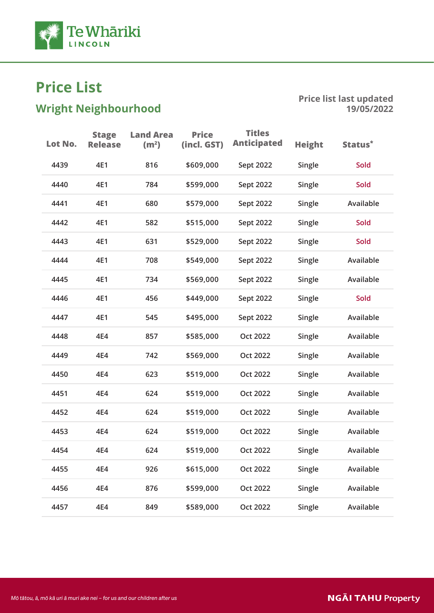

# $\mathbf{S}$ nt Nei $\mathbf{S}$ nt Nei $\mathbf{S}$

| Lot No. | <b>Stage</b><br><b>Release</b> | <b>Land Area</b><br>(m <sup>2</sup> ) | <b>Price</b><br>(incl. GST) | <b>Titles</b><br><b>Anticipated</b> | <b>Height</b> | Status <sup>*</sup> |
|---------|--------------------------------|---------------------------------------|-----------------------------|-------------------------------------|---------------|---------------------|
| 4439    | 4E1                            | 816                                   | \$609,000                   | Sept 2022                           | Single        | <b>Sold</b>         |
| 4440    | 4E1                            | 784                                   | \$599,000                   | Sept 2022                           | Single        | Sold                |
| 4441    | 4E1                            | 680                                   | \$579,000                   | Sept 2022                           | Single        | Available           |
| 4442    | 4E1                            | 582                                   | \$515,000                   | Sept 2022                           | Single        | Sold                |
| 4443    | 4E1                            | 631                                   | \$529,000                   | Sept 2022                           | Single        | Sold                |
| 4444    | 4E1                            | 708                                   | \$549,000                   | Sept 2022                           | Single        | Available           |
| 4445    | 4E1                            | 734                                   | \$569,000                   | Sept 2022                           | Single        | Available           |
| 4446    | 4E1                            | 456                                   | \$449,000                   | Sept 2022                           | Single        | <b>Sold</b>         |
| 4447    | 4E1                            | 545                                   | \$495,000                   | Sept 2022                           | Single        | Available           |
| 4448    | 4E4                            | 857                                   | \$585,000                   | <b>Oct 2022</b>                     | Single        | Available           |
| 4449    | 4E4                            | 742                                   | \$569,000                   | <b>Oct 2022</b>                     | Single        | Available           |
| 4450    | 4E4                            | 623                                   | \$519,000                   | <b>Oct 2022</b>                     | Single        | Available           |
| 4451    | 4E4                            | 624                                   | \$519,000                   | <b>Oct 2022</b>                     | Single        | Available           |
| 4452    | 4E4                            | 624                                   | \$519,000                   | <b>Oct 2022</b>                     | Single        | Available           |
| 4453    | 4E4                            | 624                                   | \$519,000                   | Oct 2022                            | Single        | Available           |
| 4454    | 4E4                            | 624                                   | \$519,000                   | <b>Oct 2022</b>                     | Single        | Available           |
| 4455    | 4E4                            | 926                                   | \$615,000                   | <b>Oct 2022</b>                     | Single        | Available           |
| 4456    | 4E4                            | 876                                   | \$599,000                   | Oct 2022                            | Single        | Available           |
| 4457    | 4E4                            | 849                                   | \$589,000                   | Oct 2022                            | Single        | Available           |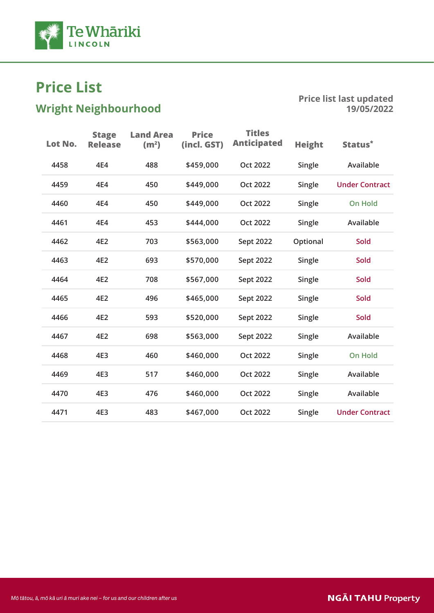

# $\mathbf{S}$ nt Nei $\mathbf{S}$ nt Nei $\mathbf{S}$

| Lot No. | <b>Stage</b><br><b>Release</b> | <b>Land Area</b><br>(m <sup>2</sup> ) | <b>Price</b><br>(incl. GST) | <b>Titles</b><br><b>Anticipated</b> | <b>Height</b> | Status*               |
|---------|--------------------------------|---------------------------------------|-----------------------------|-------------------------------------|---------------|-----------------------|
| 4458    | 4E4                            | 488                                   | \$459,000                   | <b>Oct 2022</b>                     | Single        | Available             |
| 4459    | 4E4                            | 450                                   | \$449,000                   | <b>Oct 2022</b>                     | Single        | <b>Under Contract</b> |
| 4460    | 4E4                            | 450                                   | \$449,000                   | <b>Oct 2022</b>                     | Single        | <b>On Hold</b>        |
| 4461    | 4E4                            | 453                                   | \$444,000                   | <b>Oct 2022</b>                     | Single        | Available             |
| 4462    | 4E2                            | 703                                   | \$563,000                   | Sept 2022                           | Optional      | <b>Sold</b>           |
| 4463    | 4E2                            | 693                                   | \$570,000                   | Sept 2022                           | Single        | <b>Sold</b>           |
| 4464    | 4E2                            | 708                                   | \$567,000                   | Sept 2022                           | Single        | <b>Sold</b>           |
| 4465    | 4E2                            | 496                                   | \$465,000                   | Sept 2022                           | Single        | <b>Sold</b>           |
| 4466    | 4E2                            | 593                                   | \$520,000                   | Sept 2022                           | Single        | <b>Sold</b>           |
| 4467    | 4E2                            | 698                                   | \$563,000                   | Sept 2022                           | Single        | Available             |
| 4468    | 4E3                            | 460                                   | \$460,000                   | <b>Oct 2022</b>                     | Single        | <b>On Hold</b>        |
| 4469    | 4E3                            | 517                                   | \$460,000                   | <b>Oct 2022</b>                     | Single        | Available             |
| 4470    | 4E3                            | 476                                   | \$460,000                   | <b>Oct 2022</b>                     | Single        | Available             |
| 4471    | 4E3                            | 483                                   | \$467,000                   | <b>Oct 2022</b>                     | Single        | <b>Under Contract</b> |